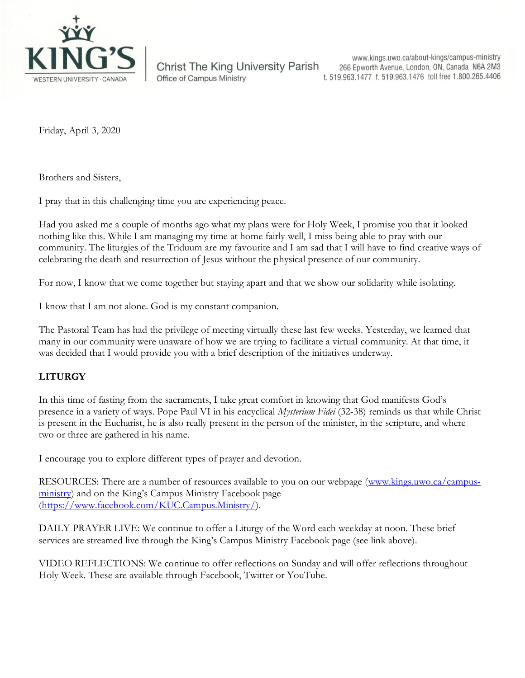

**Christ The King University Parish** Office of Campus Ministry

www.kings.uwo.ca/about-kings/campus-ministry 266 Epworth Avenue, London, ON, Canada N6A 2M3 t. 519.963.1477 f. 519.963.1476 toll free 1.800.265.4406

Friday, April 3, 2020

Brothers and Sisters,

I pray that in this challenging time you are experiencing peace.

Had you asked me a couple of months ago what my plans were for Holy Week, I promise you that it looked nothing like this. While I am managing my time at home fairly well, I miss being able to pray with our community. The liturgies of the Triduum are my favourite and I am sad that I will have to find creative ways of celebrating the death and resurrection of Jesus without the physical presence of our community.

For now, I know that we come together but staying apart and that we show our solidarity while isolating.

I know that I am not alone. God is my constant companion.

The Pastoral Team has had the privilege of meeting virtually these last few weeks. Yesterday, we learned that many in our community were unaware of how we are trying to facilitate a virtual community. At that time, it was decided that I would provide you with a brief description of the initiatives underway.

## **LITURGY**

In this time of fasting from the sacraments, I take great comfort in knowing that God manifests God's presence in a variety of ways. Pope Paul VI in his encyclical *Mysterium Fidei* (32-38) reminds us that while Christ is present in the Eucharist, he is also really present in the person of the minister, in the scripture, and where two or three are gathered in his name.

I encourage you to explore different types of prayer and devotion.

RESOURCES: There are a number of resources available to you on our webpage [\(www.kings.uwo.ca/campus](http://www.kings.uwo.ca/campus-ministry)[ministry](http://www.kings.uwo.ca/campus-ministry)) and on the King's Campus Ministry Facebook page [\(https://www.facebook.com/KUC.Campus.Ministry/\)](https://www.facebook.com/KUC.Campus.Ministry/).

DAILY PRAYER LIVE: We continue to offer a Liturgy of the Word each weekday at noon. These brief services are streamed live through the King's Campus Ministry Facebook page (see link above).

VIDEO REFLECTIONS: We continue to offer reflections on Sunday and will offer reflections throughout Holy Week. These are available through Facebook, Twitter or YouTube.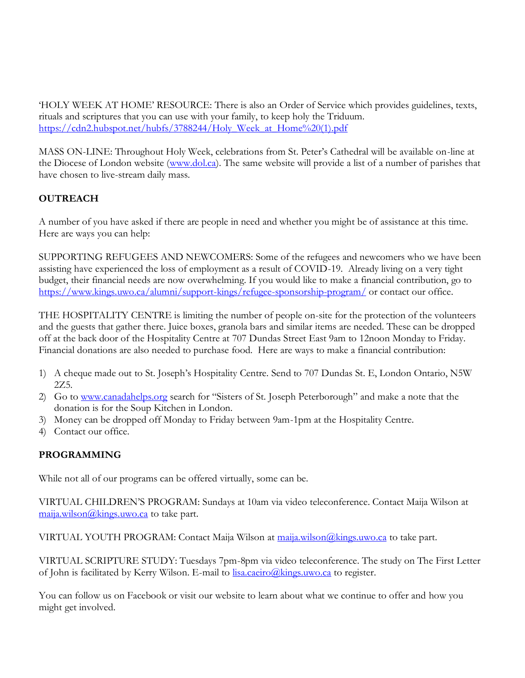'HOLY WEEK AT HOME' RESOURCE: There is also an Order of Service which provides guidelines, texts, rituals and scriptures that you can use with your family, to keep holy the Triduum. [https://cdn2.hubspot.net/hubfs/3788244/Holy\\_Week\\_at\\_Home%20\(1\).pdf](https://cdn2.hubspot.net/hubfs/3788244/Holy_Week_at_Home%20(1).pdf)

MASS ON-LINE: Throughout Holy Week, celebrations from St. Peter's Cathedral will be available on-line at the Diocese of London website [\(www.dol.ca\)](http://www.dol.ca/). The same website will provide a list of a number of parishes that have chosen to live-stream daily mass.

# **OUTREACH**

A number of you have asked if there are people in need and whether you might be of assistance at this time. Here are ways you can help:

SUPPORTING REFUGEES AND NEWCOMERS: Some of the refugees and newcomers who we have been assisting have experienced the loss of employment as a result of COVID-19. Already living on a very tight budget, their financial needs are now overwhelming. If you would like to make a financial contribution, go to <https://www.kings.uwo.ca/alumni/support-kings/refugee-sponsorship-program/> or contact our office.

THE HOSPITALITY CENTRE is limiting the number of people on-site for the protection of the volunteers and the guests that gather there. Juice boxes, granola bars and similar items are needed. These can be dropped off at the back door of the Hospitality Centre at 707 Dundas Street East 9am to 12noon Monday to Friday. Financial donations are also needed to purchase food. Here are ways to make a financial contribution:

- 1) A cheque made out to St. Joseph's Hospitality Centre. Send to 707 Dundas St. E, London Ontario, N5W 2Z5.
- 2) Go to [www.canadahelps.org](http://www.canadahelps.org/) search for "Sisters of St. Joseph Peterborough" and make a note that the donation is for the Soup Kitchen in London.
- 3) Money can be dropped off Monday to Friday between 9am-1pm at the Hospitality Centre.
- 4) Contact our office.

# **PROGRAMMING**

While not all of our programs can be offered virtually, some can be.

VIRTUAL CHILDREN'S PROGRAM: Sundays at 10am via video teleconference. Contact Maija Wilson at [maija.wilson@kings.uwo.ca](mailto:maija.wilson@kings.uwo.ca) to take part.

VIRTUAL YOUTH PROGRAM: Contact Maija Wilson at [maija.wilson@kings.uwo.ca](mailto:maija.wilson@kings.uwo.ca) to take part.

VIRTUAL SCRIPTURE STUDY: Tuesdays 7pm-8pm via video teleconference. The study on The First Letter of John is facilitated by Kerry Wilson. E-mail to [lisa.caeiro@kings.uwo.ca](mailto:lisa.caeiro@kings.uwo.ca) to register.

You can follow us on Facebook or visit our website to learn about what we continue to offer and how you might get involved.